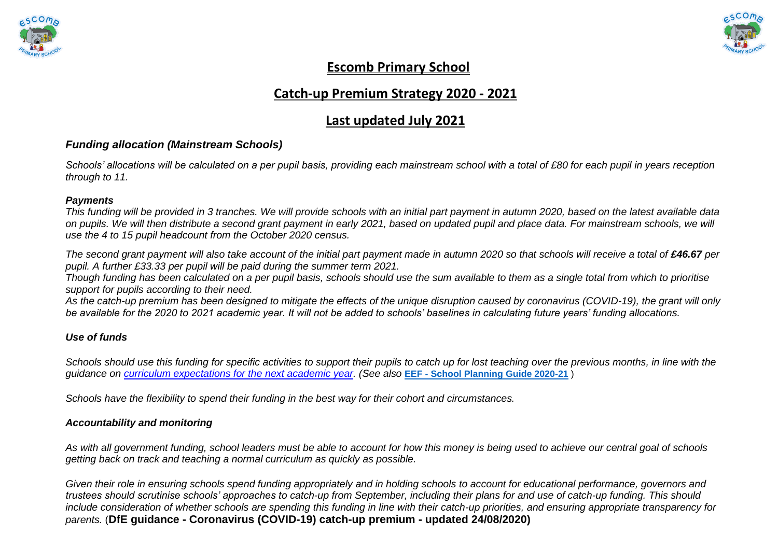



## **Escomb Primary School**

## **Catch-up Premium Strategy 2020 - 2021**

## **Last updated July 2021**

### *Funding allocation (Mainstream Schools)*

*Schools' allocations will be calculated on a per pupil basis, providing each mainstream school with a total of £80 for each pupil in years reception through to 11.*

#### *Payments*

*This funding will be provided in 3 tranches. We will provide schools with an initial part payment in autumn 2020, based on the latest available data on pupils. We will then distribute a second grant payment in early 2021, based on updated pupil and place data. For mainstream schools, we will use the 4 to 15 pupil headcount from the October 2020 census.*

The second grant payment will also take account of the initial part payment made in autumn 2020 so that schools will receive a total of £46.67 per *pupil. A further £33.33 per pupil will be paid during the summer term 2021.*

*Though funding has been calculated on a per pupil basis, schools should use the sum available to them as a single total from which to prioritise support for pupils according to their need.*

*As the catch-up premium has been designed to mitigate the effects of the unique disruption caused by coronavirus (COVID-19), the grant will only be available for the 2020 to 2021 academic year. It will not be added to schools' baselines in calculating future years' funding allocations.*

#### *Use of funds*

*Schools should use this funding for specific activities to support their pupils to catch up for lost teaching over the previous months, in line with the guidance on [curriculum expectations for the next academic year.](https://www.gov.uk/government/publications/actions-for-schools-during-the-coronavirus-outbreak/guidance-for-full-opening-schools#section-3-curriculum-behaviour-and-pastoral-support) (See also* **EEF - [School Planning Guide 2020-21](https://educationendowmentfoundation.org.uk/covid-19-resources/guide-to-supporting-schools-planning/)** )

*Schools have the flexibility to spend their funding in the best way for their cohort and circumstances.*

#### *Accountability and monitoring*

*As with all government funding, school leaders must be able to account for how this money is being used to achieve our central goal of schools getting back on track and teaching a normal curriculum as quickly as possible.*

*Given their role in ensuring schools spend funding appropriately and in holding schools to account for educational performance, governors and trustees should scrutinise schools' approaches to catch-up from September, including their plans for and use of catch-up funding. This should include consideration of whether schools are spending this funding in line with their catch-up priorities, and ensuring appropriate transparency for parents.* (**DfE guidance - Coronavirus (COVID-19) catch-up premium - updated 24/08/2020)**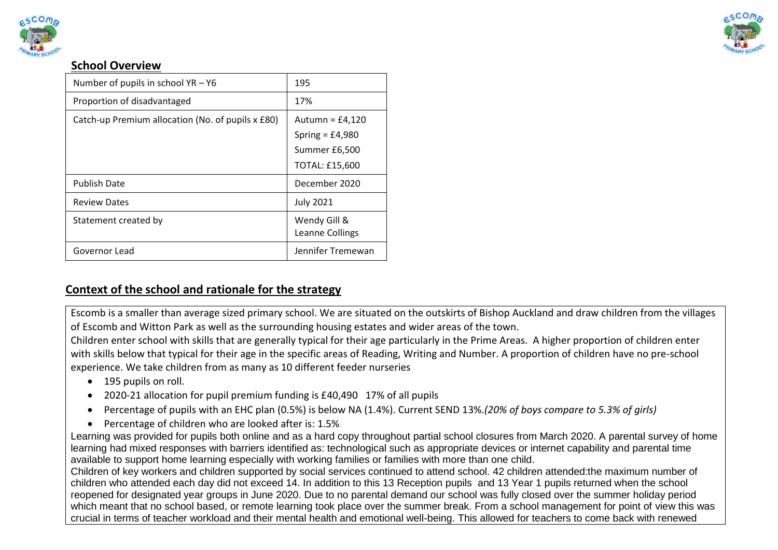



### **School Overview**

| Number of pupils in school YR - Y6                | 195                                                                              |
|---------------------------------------------------|----------------------------------------------------------------------------------|
| Proportion of disadvantaged                       | 17%                                                                              |
| Catch-up Premium allocation (No. of pupils x £80) | Autumn = $£4,120$<br>Spring = $£4,980$<br>Summer £6,500<br><b>TOTAL: £15,600</b> |
| <b>Publish Date</b>                               | December 2020                                                                    |
| <b>Review Dates</b>                               | <b>July 2021</b>                                                                 |
| Statement created by                              | Wendy Gill &<br>Leanne Collings                                                  |
| Governor Lead                                     | Jennifer Tremewan                                                                |

## **Context of the school and rationale for the strategy**

Escomb is a smaller than average sized primary school. We are situated on the outskirts of Bishop Auckland and draw children from the villages of Escomb and Witton Park as well as the surrounding housing estates and wider areas of the town.

Children enter school with skills that are generally typical for their age particularly in the Prime Areas. A higher proportion of children enter with skills below that typical for their age in the specific areas of Reading, Writing and Number. A proportion of children have no pre-school experience. We take children from as many as 10 different feeder nurseries

- 195 pupils on roll.
- 2020-21 allocation for pupil premium funding is £40,490 17% of all pupils
- Percentage of pupils with an EHC plan (0.5%) is below NA (1.4%). Current SEND 13%.*(20% of boys compare to 5.3% of girls)*
- Percentage of children who are looked after is: 1.5%

Learning was provided for pupils both online and as a hard copy throughout partial school closures from March 2020. A parental survey of home learning had mixed responses with barriers identified as: technological such as appropriate devices or internet capability and parental time available to support home learning especially with working families or families with more than one child.

Children of key workers and children supported by social services continued to attend school. 42 children attended:the maximum number of children who attended each day did not exceed 14. In addition to this 13 Reception pupils and 13 Year 1 pupils returned when the school reopened for designated year groups in June 2020. Due to no parental demand our school was fully closed over the summer holiday period which meant that no school based, or remote learning took place over the summer break. From a school management for point of view this was crucial in terms of teacher workload and their mental health and emotional well-being. This allowed for teachers to come back with renewed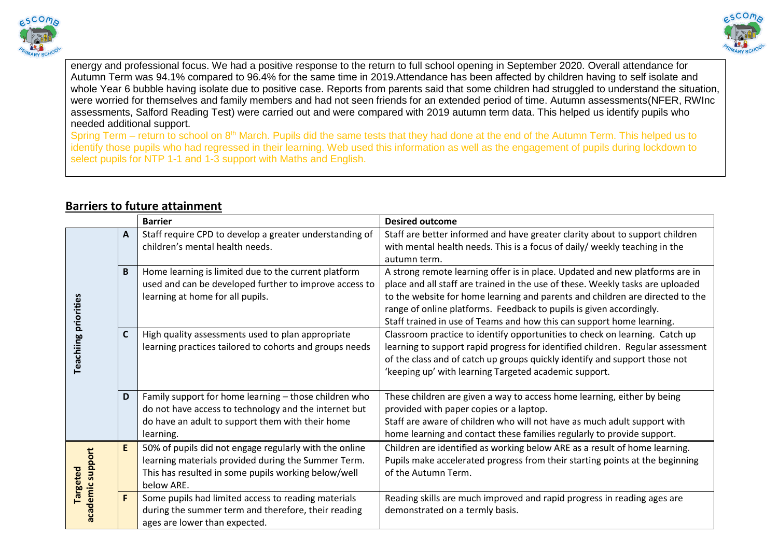



energy and professional focus. We had a positive response to the return to full school opening in September 2020. Overall attendance for Autumn Term was 94.1% compared to 96.4% for the same time in 2019.Attendance has been affected by children having to self isolate and whole Year 6 bubble having isolate due to positive case. Reports from parents said that some children had struggled to understand the situation, were worried for themselves and family members and had not seen friends for an extended period of time. Autumn assessments(NFER, RWInc assessments, Salford Reading Test) were carried out and were compared with 2019 autumn term data. This helped us identify pupils who needed additional support.

Spring Term – return to school on 8<sup>th</sup> March. Pupils did the same tests that they had done at the end of the Autumn Term. This helped us to identify those pupils who had regressed in their learning. Web used this information as well as the engagement of pupils during lockdown to select pupils for NTP 1-1 and 1-3 support with Maths and English.

#### **Barrier Desired outcome A** Staff require CPD to develop a greater understanding of Staff are better informed and have greater clarity about to support children children's mental health needs. with mental health needs. This is a focus of daily/ weekly teaching in the autumn term. **B** Home learning is limited due to the current platform A strong remote learning offer is in place. Updated and new platforms are in place and all staff are trained in the use of these. Weekly tasks are uploaded used and can be developed further to improve access to to the website for home learning and parents and children are directed to the learning at home for all pupils. **Teachiing priorities Teachiing priorities** range of online platforms. Feedback to pupils is given accordingly. Staff trained in use of Teams and how this can support home learning. **C** High quality assessments used to plan appropriate Classroom practice to identify opportunities to check on learning. Catch up learning practices tailored to cohorts and groups needs learning to support rapid progress for identified children. Regular assessment of the class and of catch up groups quickly identify and support those not 'keeping up' with learning Targeted academic support. **D** Family support for home learning – those children who These children are given a way to access home learning, either by being do not have access to technology and the internet but provided with paper copies or a laptop. do have an adult to support them with their home Staff are aware of children who will not have as much adult support with home learning and contact these families regularly to provide support. learning. **E** 50% of pupils did not engage regularly with the online Children are identified as working below ARE as a result of home learning. academic support **academic support** Pupils make accelerated progress from their starting points at the beginning learning materials provided during the Summer Term. **Targeted**  This has resulted in some pupils working below/well of the Autumn Term. below ARE. **F** Some pupils had limited access to reading materials Reading skills are much improved and rapid progress in reading ages are during the summer term and therefore, their reading demonstrated on a termly basis.ages are lower than expected.

## **Barriers to future attainment**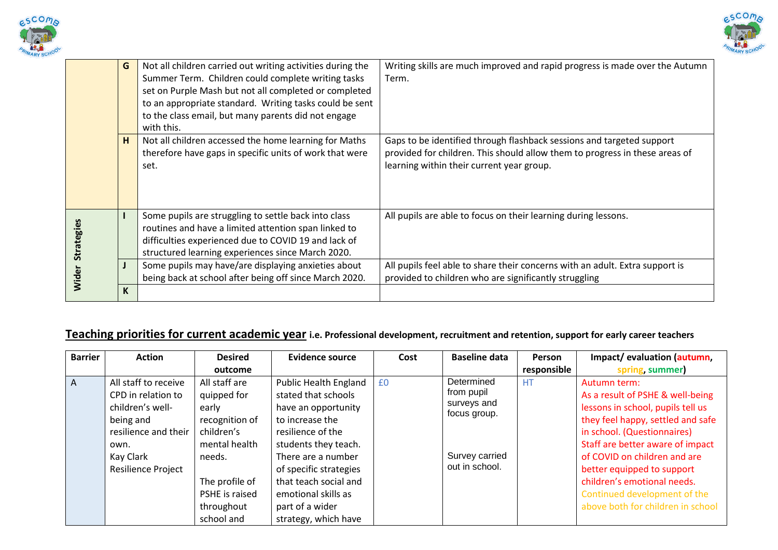



|                   | G | Not all children carried out writing activities during the<br>Summer Term. Children could complete writing tasks<br>set on Purple Mash but not all completed or completed<br>to an appropriate standard. Writing tasks could be sent<br>to the class email, but many parents did not engage | Writing skills are much improved and rapid progress is made over the Autumn<br>Term.                                                                                                              |
|-------------------|---|---------------------------------------------------------------------------------------------------------------------------------------------------------------------------------------------------------------------------------------------------------------------------------------------|---------------------------------------------------------------------------------------------------------------------------------------------------------------------------------------------------|
|                   | H | with this.<br>Not all children accessed the home learning for Maths<br>therefore have gaps in specific units of work that were<br>set.                                                                                                                                                      | Gaps to be identified through flashback sessions and targeted support<br>provided for children. This should allow them to progress in these areas of<br>learning within their current year group. |
| <b>Strategies</b> |   | Some pupils are struggling to settle back into class<br>routines and have a limited attention span linked to<br>difficulties experienced due to COVID 19 and lack of<br>structured learning experiences since March 2020.                                                                   | All pupils are able to focus on their learning during lessons.                                                                                                                                    |
| Wider             |   | Some pupils may have/are displaying anxieties about<br>being back at school after being off since March 2020.                                                                                                                                                                               | All pupils feel able to share their concerns with an adult. Extra support is<br>provided to children who are significantly struggling                                                             |
|                   | K |                                                                                                                                                                                                                                                                                             |                                                                                                                                                                                                   |

## **Teaching priorities for current academic year i.e. Professional development, recruitment and retention, support for early career teachers**

| <b>Barrier</b> | <b>Action</b>                                                                                                                                  | <b>Desired</b>                                                                                                                                     | Evidence source                                                                                                                                                                                                                                               | Cost | <b>Baseline data</b>                                                                        | <b>Person</b> | Impact/evaluation (autumn,                                                                                                                                                                                                                                                                                                                                      |
|----------------|------------------------------------------------------------------------------------------------------------------------------------------------|----------------------------------------------------------------------------------------------------------------------------------------------------|---------------------------------------------------------------------------------------------------------------------------------------------------------------------------------------------------------------------------------------------------------------|------|---------------------------------------------------------------------------------------------|---------------|-----------------------------------------------------------------------------------------------------------------------------------------------------------------------------------------------------------------------------------------------------------------------------------------------------------------------------------------------------------------|
|                |                                                                                                                                                | outcome                                                                                                                                            |                                                                                                                                                                                                                                                               |      |                                                                                             | responsible   | spring summer)                                                                                                                                                                                                                                                                                                                                                  |
| $\overline{A}$ | All staff to receive<br>CPD in relation to<br>children's well-<br>being and<br>resilience and their<br>own.<br>Kay Clark<br>Resilience Project | All staff are<br>quipped for<br>early<br>recognition of<br>children's<br>mental health<br>needs.<br>The profile of<br>PSHE is raised<br>throughout | <b>Public Health England</b><br>stated that schools<br>have an opportunity<br>to increase the<br>resilience of the<br>students they teach.<br>There are a number<br>of specific strategies<br>that teach social and<br>emotional skills as<br>part of a wider | £0   | Determined<br>from pupil<br>surveys and<br>focus group.<br>Survey carried<br>out in school. | <b>HT</b>     | Autumn term:<br>As a result of PSHE & well-being<br>lessons in school, pupils tell us<br>they feel happy, settled and safe<br>in school. (Questionnaires)<br>Staff are better aware of impact<br>of COVID on children and are<br>better equipped to support<br>children's emotional needs.<br>Continued development of the<br>above both for children in school |
|                |                                                                                                                                                | school and                                                                                                                                         | strategy, which have                                                                                                                                                                                                                                          |      |                                                                                             |               |                                                                                                                                                                                                                                                                                                                                                                 |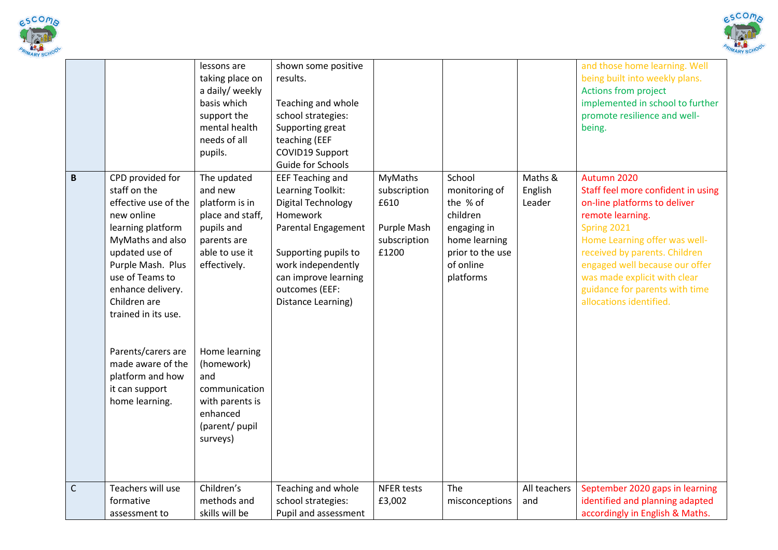



|              |                                                                                                                                                                                                                                                                                                                                          | lessons are<br>taking place on<br>a daily/ weekly<br>basis which<br>support the<br>mental health<br>needs of all<br>pupils.                                                                                                                     | shown some positive<br>results.<br>Teaching and whole<br>school strategies:<br>Supporting great<br>teaching (EEF<br>COVID19 Support<br>Guide for Schools                                                                   |                                                                                |                                                                                                                               |                              | and those home learning. Well<br>being built into weekly plans.<br>Actions from project<br>implemented in school to further<br>promote resilience and well-<br>being.                                                                                                                                                 |
|--------------|------------------------------------------------------------------------------------------------------------------------------------------------------------------------------------------------------------------------------------------------------------------------------------------------------------------------------------------|-------------------------------------------------------------------------------------------------------------------------------------------------------------------------------------------------------------------------------------------------|----------------------------------------------------------------------------------------------------------------------------------------------------------------------------------------------------------------------------|--------------------------------------------------------------------------------|-------------------------------------------------------------------------------------------------------------------------------|------------------------------|-----------------------------------------------------------------------------------------------------------------------------------------------------------------------------------------------------------------------------------------------------------------------------------------------------------------------|
| $\pmb B$     | CPD provided for<br>staff on the<br>effective use of the<br>new online<br>learning platform<br>MyMaths and also<br>updated use of<br>Purple Mash. Plus<br>use of Teams to<br>enhance delivery.<br>Children are<br>trained in its use.<br>Parents/carers are<br>made aware of the<br>platform and how<br>it can support<br>home learning. | The updated<br>and new<br>platform is in<br>place and staff,<br>pupils and<br>parents are<br>able to use it<br>effectively.<br>Home learning<br>(homework)<br>and<br>communication<br>with parents is<br>enhanced<br>(parent/ pupil<br>surveys) | <b>EEF Teaching and</b><br>Learning Toolkit:<br><b>Digital Technology</b><br>Homework<br>Parental Engagement<br>Supporting pupils to<br>work independently<br>can improve learning<br>outcomes (EEF:<br>Distance Learning) | <b>MyMaths</b><br>subscription<br>£610<br>Purple Mash<br>subscription<br>£1200 | School<br>monitoring of<br>the % of<br>children<br>engaging in<br>home learning<br>prior to the use<br>of online<br>platforms | Maths &<br>English<br>Leader | Autumn 2020<br>Staff feel more confident in using<br>on-line platforms to deliver<br>remote learning.<br>Spring 2021<br>Home Learning offer was well-<br>received by parents. Children<br>engaged well because our offer<br>was made explicit with clear<br>guidance for parents with time<br>allocations identified. |
| $\mathsf{C}$ | Teachers will use<br>formative<br>assessment to                                                                                                                                                                                                                                                                                          | Children's<br>methods and<br>skills will be                                                                                                                                                                                                     | Teaching and whole<br>school strategies:<br>Pupil and assessment                                                                                                                                                           | <b>NFER tests</b><br>£3,002                                                    | The<br>misconceptions                                                                                                         | All teachers<br>and          | September 2020 gaps in learning<br>identified and planning adapted<br>accordingly in English & Maths.                                                                                                                                                                                                                 |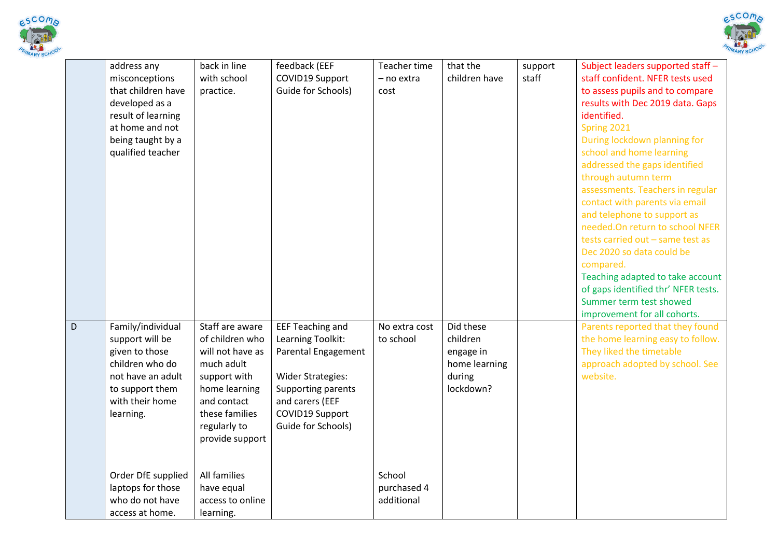



|   | address any<br>misconceptions<br>that children have<br>developed as a<br>result of learning<br>at home and not<br>being taught by a<br>qualified teacher | back in line<br>with school<br>practice.                                                                                                                                  | feedback (EEF<br>COVID19 Support<br>Guide for Schools)                                                                                                                            | Teacher time<br>- no extra<br>cost  | that the<br>children have                                                  | support<br>staff | Subject leaders supported staff -<br>staff confident. NFER tests used<br>to assess pupils and to compare<br>results with Dec 2019 data. Gaps<br>identified.<br>Spring 2021<br>During lockdown planning for<br>school and home learning<br>addressed the gaps identified<br>through autumn term<br>assessments. Teachers in regular<br>contact with parents via email<br>and telephone to support as<br>needed.On return to school NFER<br>tests carried out - same test as<br>Dec 2020 so data could be<br>compared.<br>Teaching adapted to take account<br>of gaps identified thr' NFER tests.<br>Summer term test showed<br>improvement for all cohorts. |
|---|----------------------------------------------------------------------------------------------------------------------------------------------------------|---------------------------------------------------------------------------------------------------------------------------------------------------------------------------|-----------------------------------------------------------------------------------------------------------------------------------------------------------------------------------|-------------------------------------|----------------------------------------------------------------------------|------------------|------------------------------------------------------------------------------------------------------------------------------------------------------------------------------------------------------------------------------------------------------------------------------------------------------------------------------------------------------------------------------------------------------------------------------------------------------------------------------------------------------------------------------------------------------------------------------------------------------------------------------------------------------------|
| D | Family/individual<br>support will be<br>given to those<br>children who do<br>not have an adult<br>to support them<br>with their home<br>learning.        | Staff are aware<br>of children who<br>will not have as<br>much adult<br>support with<br>home learning<br>and contact<br>these families<br>regularly to<br>provide support | <b>EEF Teaching and</b><br>Learning Toolkit:<br>Parental Engagement<br><b>Wider Strategies:</b><br>Supporting parents<br>and carers (EEF<br>COVID19 Support<br>Guide for Schools) | No extra cost<br>to school          | Did these<br>children<br>engage in<br>home learning<br>during<br>lockdown? |                  | Parents reported that they found<br>the home learning easy to follow.<br>They liked the timetable<br>approach adopted by school. See<br>website.                                                                                                                                                                                                                                                                                                                                                                                                                                                                                                           |
|   | Order DfE supplied<br>laptops for those<br>who do not have<br>access at home.                                                                            | All families<br>have equal<br>access to online<br>learning.                                                                                                               |                                                                                                                                                                                   | School<br>purchased 4<br>additional |                                                                            |                  |                                                                                                                                                                                                                                                                                                                                                                                                                                                                                                                                                                                                                                                            |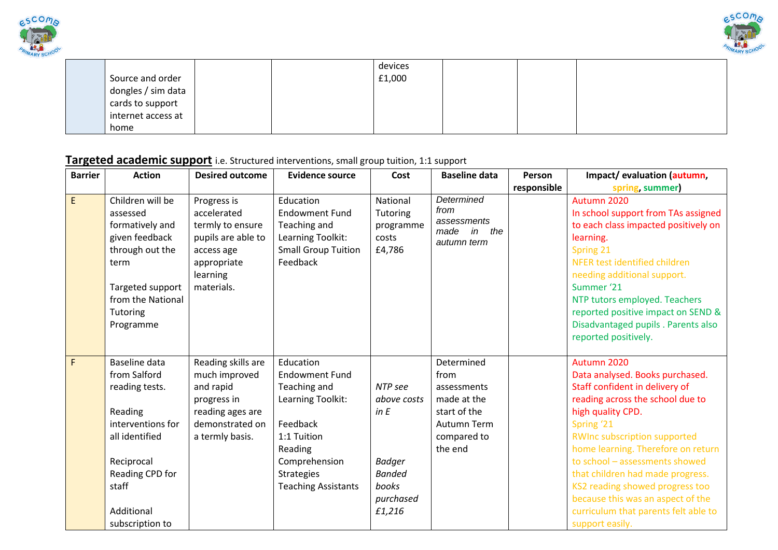



|                    |  | devices |  |  |
|--------------------|--|---------|--|--|
| Source and order   |  | £1,000  |  |  |
| dongles / sim data |  |         |  |  |
| cards to support   |  |         |  |  |
| internet access at |  |         |  |  |
| home               |  |         |  |  |

# **Targeted academic support** i.e. Structured interventions, small group tuition, 1:1 support

| <b>Barrier</b> | <b>Action</b>                                                                                                                                                                | <b>Desired outcome</b>                                                                                                      | <b>Evidence source</b>                                                                                                                                                            | Cost                                                                                             | <b>Baseline data</b>                                                                                             | Person      | Impact/evaluation (autumn,                                                                                                                                                                                                                                                                                                                                                                                                                    |
|----------------|------------------------------------------------------------------------------------------------------------------------------------------------------------------------------|-----------------------------------------------------------------------------------------------------------------------------|-----------------------------------------------------------------------------------------------------------------------------------------------------------------------------------|--------------------------------------------------------------------------------------------------|------------------------------------------------------------------------------------------------------------------|-------------|-----------------------------------------------------------------------------------------------------------------------------------------------------------------------------------------------------------------------------------------------------------------------------------------------------------------------------------------------------------------------------------------------------------------------------------------------|
|                |                                                                                                                                                                              |                                                                                                                             |                                                                                                                                                                                   |                                                                                                  |                                                                                                                  | responsible | spring, summer)                                                                                                                                                                                                                                                                                                                                                                                                                               |
| E              | Children will be<br>assessed<br>formatively and<br>given feedback<br>through out the<br>term<br>Targeted support<br>from the National<br>Tutoring<br>Programme               | Progress is<br>accelerated<br>termly to ensure<br>pupils are able to<br>access age<br>appropriate<br>learning<br>materials. | Education<br><b>Endowment Fund</b><br>Teaching and<br>Learning Toolkit:<br><b>Small Group Tuition</b><br>Feedback                                                                 | National<br>Tutoring<br>programme<br>costs<br>£4,786                                             | Determined<br>from<br>assessments<br>the<br>in<br>made<br>autumn term                                            |             | Autumn 2020<br>In school support from TAs assigned<br>to each class impacted positively on<br>learning.<br>Spring 21<br>NFER test identified children<br>needing additional support.<br>Summer '21<br>NTP tutors employed. Teachers<br>reported positive impact on SEND &<br>Disadvantaged pupils . Parents also<br>reported positively.                                                                                                      |
| $\mathsf F$    | Baseline data<br>from Salford<br>reading tests.<br>Reading<br>interventions for<br>all identified<br>Reciprocal<br>Reading CPD for<br>staff<br>Additional<br>subscription to | Reading skills are<br>much improved<br>and rapid<br>progress in<br>reading ages are<br>demonstrated on<br>a termly basis.   | Education<br><b>Endowment Fund</b><br>Teaching and<br>Learning Toolkit:<br>Feedback<br>1:1 Tuition<br>Reading<br>Comprehension<br><b>Strategies</b><br><b>Teaching Assistants</b> | NTP see<br>above costs<br>in E<br><b>Badger</b><br><b>Banded</b><br>books<br>purchased<br>£1,216 | Determined<br>from<br>assessments<br>made at the<br>start of the<br><b>Autumn Term</b><br>compared to<br>the end |             | Autumn 2020<br>Data analysed. Books purchased.<br>Staff confident in delivery of<br>reading across the school due to<br>high quality CPD.<br>Spring '21<br><b>RWInc subscription supported</b><br>home learning. Therefore on return<br>to school - assessments showed<br>that children had made progress.<br>KS2 reading showed progress too<br>because this was an aspect of the<br>curriculum that parents felt able to<br>support easily. |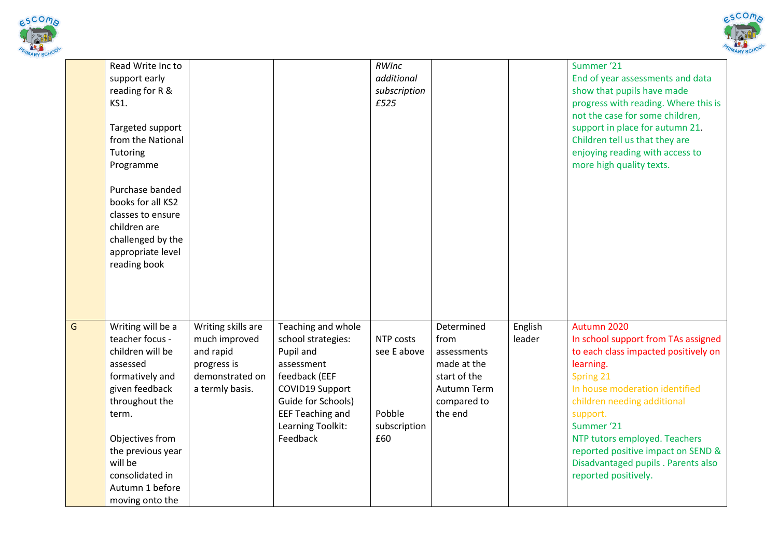



|   | Read Write Inc to<br>support early<br>reading for R &<br><b>KS1.</b><br>Targeted support<br>from the National<br>Tutoring<br>Programme<br>Purchase banded<br>books for all KS2<br>classes to ensure<br>children are<br>challenged by the<br>appropriate level<br>reading book |                                                                                                       |                                                                                                                                                                                           | RWInc<br>additional<br>subscription<br>£525               |                                                                                                           |                   | Summer '21<br>End of year assessments and data<br>show that pupils have made<br>progress with reading. Where this is<br>not the case for some children,<br>support in place for autumn 21.<br>Children tell us that they are<br>enjoying reading with access to<br>more high quality texts.                                                           |
|---|-------------------------------------------------------------------------------------------------------------------------------------------------------------------------------------------------------------------------------------------------------------------------------|-------------------------------------------------------------------------------------------------------|-------------------------------------------------------------------------------------------------------------------------------------------------------------------------------------------|-----------------------------------------------------------|-----------------------------------------------------------------------------------------------------------|-------------------|-------------------------------------------------------------------------------------------------------------------------------------------------------------------------------------------------------------------------------------------------------------------------------------------------------------------------------------------------------|
| Ġ | Writing will be a<br>teacher focus -<br>children will be<br>assessed<br>formatively and<br>given feedback<br>throughout the<br>term.<br>Objectives from<br>the previous year<br>will be<br>consolidated in<br>Autumn 1 before<br>moving onto the                              | Writing skills are<br>much improved<br>and rapid<br>progress is<br>demonstrated on<br>a termly basis. | Teaching and whole<br>school strategies:<br>Pupil and<br>assessment<br>feedback (EEF<br>COVID19 Support<br>Guide for Schools)<br><b>EEF Teaching and</b><br>Learning Toolkit:<br>Feedback | NTP costs<br>see E above<br>Pobble<br>subscription<br>£60 | Determined<br>from<br>assessments<br>made at the<br>start of the<br>Autumn Term<br>compared to<br>the end | English<br>leader | Autumn 2020<br>In school support from TAs assigned<br>to each class impacted positively on<br>learning.<br>Spring 21<br>In house moderation identified<br>children needing additional<br>support.<br>Summer '21<br>NTP tutors employed. Teachers<br>reported positive impact on SEND &<br>Disadvantaged pupils . Parents also<br>reported positively. |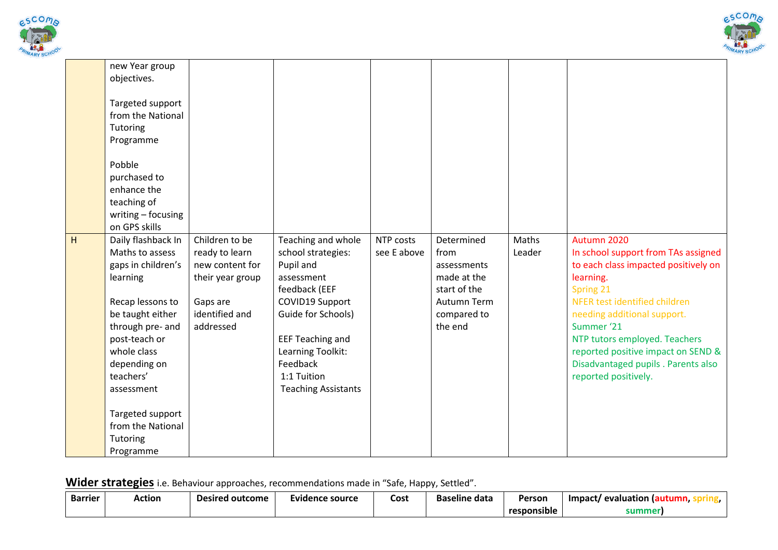



|   | new Year group<br>objectives.                                                                                                                                                                                  |                                                                                                                    |                                                                                                                                                                                                                                        |                          |                                                                                                           |                 |                                                                                                                                                                                                                                                                                                                                          |
|---|----------------------------------------------------------------------------------------------------------------------------------------------------------------------------------------------------------------|--------------------------------------------------------------------------------------------------------------------|----------------------------------------------------------------------------------------------------------------------------------------------------------------------------------------------------------------------------------------|--------------------------|-----------------------------------------------------------------------------------------------------------|-----------------|------------------------------------------------------------------------------------------------------------------------------------------------------------------------------------------------------------------------------------------------------------------------------------------------------------------------------------------|
|   | Targeted support<br>from the National<br>Tutoring<br>Programme                                                                                                                                                 |                                                                                                                    |                                                                                                                                                                                                                                        |                          |                                                                                                           |                 |                                                                                                                                                                                                                                                                                                                                          |
|   | Pobble<br>purchased to<br>enhance the<br>teaching of<br>writing - focusing<br>on GPS skills                                                                                                                    |                                                                                                                    |                                                                                                                                                                                                                                        |                          |                                                                                                           |                 |                                                                                                                                                                                                                                                                                                                                          |
| H | Daily flashback In<br>Maths to assess<br>gaps in children's<br>learning<br>Recap lessons to<br>be taught either<br>through pre- and<br>post-teach or<br>whole class<br>depending on<br>teachers'<br>assessment | Children to be<br>ready to learn<br>new content for<br>their year group<br>Gaps are<br>identified and<br>addressed | Teaching and whole<br>school strategies:<br>Pupil and<br>assessment<br>feedback (EEF<br>COVID19 Support<br>Guide for Schools)<br><b>EEF Teaching and</b><br>Learning Toolkit:<br>Feedback<br>1:1 Tuition<br><b>Teaching Assistants</b> | NTP costs<br>see E above | Determined<br>from<br>assessments<br>made at the<br>start of the<br>Autumn Term<br>compared to<br>the end | Maths<br>Leader | Autumn 2020<br>In school support from TAs assigned<br>to each class impacted positively on<br>learning.<br>Spring 21<br>NFER test identified children<br>needing additional support.<br>Summer '21<br>NTP tutors employed. Teachers<br>reported positive impact on SEND &<br>Disadvantaged pupils . Parents also<br>reported positively. |
|   | Targeted support<br>from the National<br>Tutoring<br>Programme                                                                                                                                                 |                                                                                                                    |                                                                                                                                                                                                                                        |                          |                                                                                                           |                 |                                                                                                                                                                                                                                                                                                                                          |

**Wider strategies** i.e. Behaviour approaches, recommendations made in "Safe, Happy, Settled".

| <b>Barrier</b> | Action | Desired outcome | Evidence source | Cost | . .<br><b>Baseline data</b> | Person                              | <b>Impact</b><br>evaluation |
|----------------|--------|-----------------|-----------------|------|-----------------------------|-------------------------------------|-----------------------------|
|                |        |                 |                 |      |                             | $\ddot{\phantom{1}}$<br>responsible | summer                      |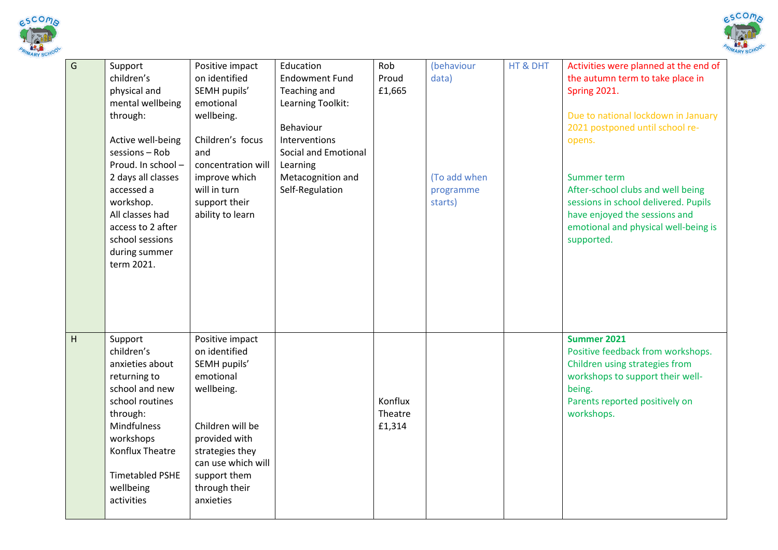



| G | Support<br>children's<br>physical and<br>mental wellbeing<br>through:<br>Active well-being<br>sessions - Rob<br>Proud. In school-<br>2 days all classes<br>accessed a<br>workshop.<br>All classes had<br>access to 2 after<br>school sessions<br>during summer<br>term 2021. | Positive impact<br>on identified<br>SEMH pupils'<br>emotional<br>wellbeing.<br>Children's focus<br>and<br>concentration will<br>improve which<br>will in turn<br>support their<br>ability to learn      | Education<br><b>Endowment Fund</b><br>Teaching and<br>Learning Toolkit:<br>Behaviour<br><b>Interventions</b><br>Social and Emotional<br>Learning<br>Metacognition and<br>Self-Regulation | Rob<br>Proud<br>£1,665       | (behaviour<br>data)<br>(To add when<br>programme<br>starts) | HT & DHT | Activities were planned at the end of<br>the autumn term to take place in<br>Spring 2021.<br>Due to national lockdown in January<br>2021 postponed until school re-<br>opens.<br>Summer term<br>After-school clubs and well being<br>sessions in school delivered. Pupils<br>have enjoyed the sessions and<br>emotional and physical well-being is<br>supported. |
|---|------------------------------------------------------------------------------------------------------------------------------------------------------------------------------------------------------------------------------------------------------------------------------|---------------------------------------------------------------------------------------------------------------------------------------------------------------------------------------------------------|------------------------------------------------------------------------------------------------------------------------------------------------------------------------------------------|------------------------------|-------------------------------------------------------------|----------|------------------------------------------------------------------------------------------------------------------------------------------------------------------------------------------------------------------------------------------------------------------------------------------------------------------------------------------------------------------|
| H | Support<br>children's<br>anxieties about<br>returning to<br>school and new<br>school routines<br>through:<br><b>Mindfulness</b><br>workshops<br><b>Konflux Theatre</b><br><b>Timetabled PSHE</b><br>wellbeing<br>activities                                                  | Positive impact<br>on identified<br>SEMH pupils'<br>emotional<br>wellbeing.<br>Children will be<br>provided with<br>strategies they<br>can use which will<br>support them<br>through their<br>anxieties |                                                                                                                                                                                          | Konflux<br>Theatre<br>£1,314 |                                                             |          | Summer 2021<br>Positive feedback from workshops.<br>Children using strategies from<br>workshops to support their well-<br>being.<br>Parents reported positively on<br>workshops.                                                                                                                                                                                 |